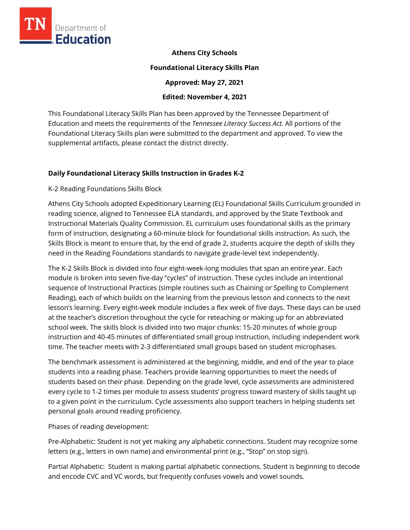

**Athens City Schools** 

#### **Foundational Literacy Skills Plan**

**Approved: May 27, 2021** 

### **Edited: November 4, 2021**

This Foundational Literacy Skills Plan has been approved by the Tennessee Department of Education and meets the requirements of the *Tennessee Literacy Success Act.* All portions of the Foundational Literacy Skills plan were submitted to the department and approved. To view the supplemental artifacts, please contact the district directly.

### **Daily Foundational Literacy Skills Instruction in Grades K-2**

#### K-2 Reading Foundations Skills Block

Athens City Schools adopted Expeditionary Learning (EL) Foundational Skills Curriculum grounded in reading science, aligned to Tennessee ELA standards, and approved by the State Textbook and Instructional Materials Quality Commission. EL curriculum uses foundational skills as the primary form of instruction, designating a 60-minute block for foundational skills instruction. As such, the Skills Block is meant to ensure that, by the end of grade 2, students acquire the depth of skills they need in the Reading Foundations standards to navigate grade-level text independently.

The K-2 Skills Block is divided into four eight-week-long modules that span an entire year. Each module is broken into seven five-day "cycles" of instruction. These cycles include an intentional sequence of Instructional Practices (simple routines such as Chaining or Spelling to Complement Reading), each of which builds on the learning from the previous lesson and connects to the next lesson's learning. Every eight-week module includes a flex week of five days. These days can be used at the teacher's discretion throughout the cycle for reteaching or making up for an abbreviated school week. The skills block is divided into two major chunks: 15-20 minutes of whole group instruction and 40-45 minutes of differentiated small group instruction, including independent work time. The teacher meets with 2-3 differentiated small groups based on student microphases.

The benchmark assessment is administered at the beginning, middle, and end of the year to place students into a reading phase. Teachers provide learning opportunities to meet the needs of students based on their phase. Depending on the grade level, cycle assessments are administered every cycle to 1-2 times per module to assess students' progress toward mastery of skills taught up to a given point in the curriculum. Cycle assessments also support teachers in helping students set personal goals around reading proficiency.

Phases of reading development:

Pre-Alphabetic: Student is not yet making any alphabetic connections. Student may recognize some letters (e.g., letters in own name) and environmental print (e.g., "Stop" on stop sign).

Partial Alphabetic: Student is making partial alphabetic connections. Student is beginning to decode and encode CVC and VC words, but frequently confuses vowels and vowel sounds.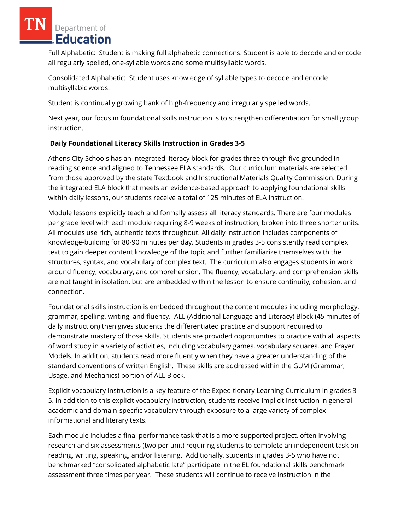Full Alphabetic: Student is making full alphabetic connections. Student is able to decode and encode all regularly spelled, one-syllable words and some multisyllabic words.

Consolidated Alphabetic: Student uses knowledge of syllable types to decode and encode multisyllabic words.

Student is continually growing bank of high-frequency and irregularly spelled words.

Next year, our focus in foundational skills instruction is to strengthen differentiation for small group instruction.

### **Daily Foundational Literacy Skills Instruction in Grades 3-5**

Athens City Schools has an integrated literacy block for grades three through five grounded in reading science and aligned to Tennessee ELA standards. Our curriculum materials are selected from those approved by the state Textbook and Instructional Materials Quality Commission. During the integrated ELA block that meets an evidence-based approach to applying foundational skills within daily lessons, our students receive a total of 125 minutes of ELA instruction.

Module lessons explicitly teach and formally assess all literacy standards. There are four modules per grade level with each module requiring 8-9 weeks of instruction, broken into three shorter units. All modules use rich, authentic texts throughout. All daily instruction includes components of knowledge-building for 80-90 minutes per day. Students in grades 3-5 consistently read complex text to gain deeper content knowledge of the topic and further familiarize themselves with the structures, syntax, and vocabulary of complex text. The curriculum also engages students in work around fluency, vocabulary, and comprehension. The fluency, vocabulary, and comprehension skills are not taught in isolation, but are embedded within the lesson to ensure continuity, cohesion, and connection.

Foundational skills instruction is embedded throughout the content modules including morphology, grammar, spelling, writing, and fluency. ALL (Additional Language and Literacy) Block (45 minutes of daily instruction) then gives students the differentiated practice and support required to demonstrate mastery of those skills. Students are provided opportunities to practice with all aspects of word study in a variety of activities, including vocabulary games, vocabulary squares, and Frayer Models. In addition, students read more fluently when they have a greater understanding of the standard conventions of written English. These skills are addressed within the GUM (Grammar, Usage, and Mechanics) portion of ALL Block.

Explicit vocabulary instruction is a key feature of the Expeditionary Learning Curriculum in grades 3- 5. In addition to this explicit vocabulary instruction, students receive implicit instruction in general academic and domain-specific vocabulary through exposure to a large variety of complex informational and literary texts.

Each module includes a final performance task that is a more supported project, often involving research and six assessments (two per unit) requiring students to complete an independent task on reading, writing, speaking, and/or listening. Additionally, students in grades 3-5 who have not benchmarked "consolidated alphabetic late" participate in the EL foundational skills benchmark assessment three times per year. These students will continue to receive instruction in the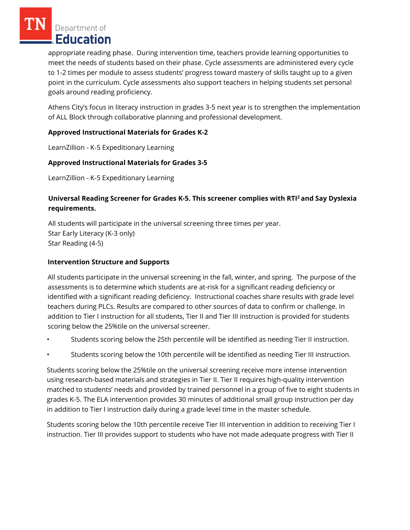appropriate reading phase. During intervention time, teachers provide learning opportunities to meet the needs of students based on their phase. Cycle assessments are administered every cycle to 1-2 times per module to assess students' progress toward mastery of skills taught up to a given point in the curriculum. Cycle assessments also support teachers in helping students set personal goals around reading proficiency.

Athens City's focus in literacy instruction in grades 3-5 next year is to strengthen the implementation of ALL Block through collaborative planning and professional development.

### **Approved Instructional Materials for Grades K-2**

LearnZillion - K-5 Expeditionary Learning

# **Approved Instructional Materials for Grades 3-5**

LearnZillion - K-5 Expeditionary Learning

# **Universal Reading Screener for Grades K-5. This screener complies with RTI<sup>2</sup>and Say Dyslexia requirements.**

All students will participate in the universal screening three times per year. Star Early Literacy (K-3 only) Star Reading (4-5)

### **Intervention Structure and Supports**

All students participate in the universal screening in the fall, winter, and spring. The purpose of the assessments is to determine which students are at-risk for a significant reading deficiency or identified with a significant reading deficiency. Instructional coaches share results with grade level teachers during PLCs. Results are compared to other sources of data to confirm or challenge. In addition to Tier I instruction for all students, Tier II and Tier III instruction is provided for students scoring below the 25%tile on the universal screener.

- Students scoring below the 25th percentile will be identified as needing Tier II instruction.
- Students scoring below the 10th percentile will be identified as needing Tier III instruction.

Students scoring below the 25%tile on the universal screening receive more intense intervention using research-based materials and strategies in Tier II. Tier II requires high-quality intervention matched to students' needs and provided by trained personnel in a group of five to eight students in grades K-5. The ELA intervention provides 30 minutes of additional small group instruction per day in addition to Tier I instruction daily during a grade level time in the master schedule.

Students scoring below the 10th percentile receive Tier III intervention in addition to receiving Tier I instruction. Tier III provides support to students who have not made adequate progress with Tier II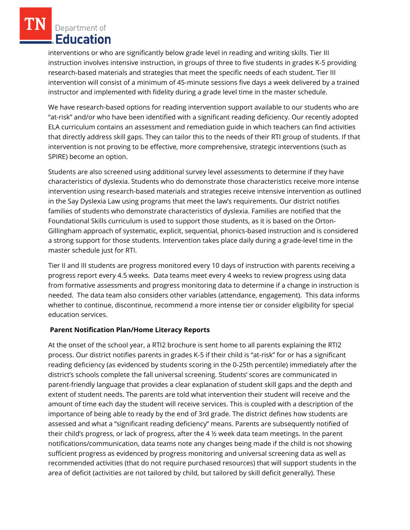interventions or who are significantly below grade level in reading and writing skills. Tier III instruction involves intensive instruction, in groups of three to five students in grades K-5 providing research-based materials and strategies that meet the specific needs of each student. Tier III intervention will consist of a minimum of 45-minute sessions five days a week delivered by a trained instructor and implemented with fidelity during a grade level time in the master schedule.

We have research-based options for reading intervention support available to our students who are "at-risk" and/or who have been identified with a significant reading deficiency. Our recently adopted ELA curriculum contains an assessment and remediation guide in which teachers can find activities that directly address skill gaps. They can tailor this to the needs of their RTI group of students. If that intervention is not proving to be effective, more comprehensive, strategic interventions (such as SPIRE) become an option.

Students are also screened using additional survey level assessments to determine if they have characteristics of dyslexia. Students who do demonstrate those characteristics receive more intense intervention using research-based materials and strategies receive intensive intervention as outlined in the Say Dyslexia Law using programs that meet the law's requirements. Our district notifies families of students who demonstrate characteristics of dyslexia. Families are notified that the Foundational Skills curriculum is used to support those students, as it is based on the Orton-Gillingham approach of systematic, explicit, sequential, phonics-based instruction and is considered a strong support for those students. Intervention takes place daily during a grade-level time in the master schedule just for RTI.

Tier II and III students are progress monitored every 10 days of instruction with parents receiving a progress report every 4.5 weeks. Data teams meet every 4 weeks to review progress using data from formative assessments and progress monitoring data to determine if a change in instruction is needed. The data team also considers other variables (attendance, engagement). This data informs whether to continue, discontinue, recommend a more intense tier or consider eligibility for special education services.

#### **Parent Notification Plan/Home Literacy Reports**

At the onset of the school year, a RTI2 brochure is sent home to all parents explaining the RTI2 process. Our district notifies parents in grades K-5 if their child is "at-risk" for or has a significant reading deficiency (as evidenced by students scoring in the 0-25th percentile) immediately after the district's schools complete the fall universal screening. Students' scores are communicated in parent-friendly language that provides a clear explanation of student skill gaps and the depth and extent of student needs. The parents are told what intervention their student will receive and the amount of time each day the student will receive services. This is coupled with a description of the importance of being able to ready by the end of 3rd grade. The district defines how students are assessed and what a "significant reading deficiency" means. Parents are subsequently notified of their child's progress, or lack of progress, after the 4 ½ week data team meetings. In the parent notifications/communication, data teams note any changes being made if the child is not showing sufficient progress as evidenced by progress monitoring and universal screening data as well as recommended activities (that do not require purchased resources) that will support students in the area of deficit (activities are not tailored by child, but tailored by skill deficit generally). These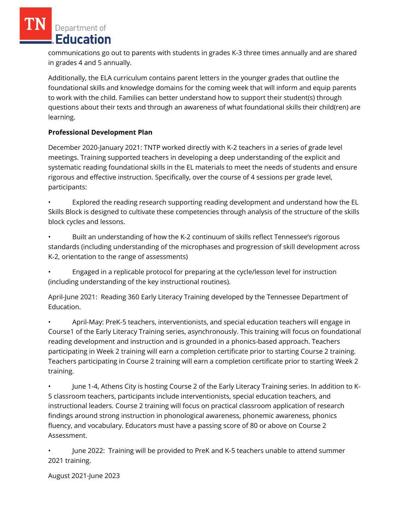communications go out to parents with students in grades K-3 three times annually and are shared in grades 4 and 5 annually.

Additionally, the ELA curriculum contains parent letters in the younger grades that outline the foundational skills and knowledge domains for the coming week that will inform and equip parents to work with the child. Families can better understand how to support their student(s) through questions about their texts and through an awareness of what foundational skills their child(ren) are learning.

# **Professional Development Plan**

December 2020-January 2021: TNTP worked directly with K-2 teachers in a series of grade level meetings. Training supported teachers in developing a deep understanding of the explicit and systematic reading foundational skills in the EL materials to meet the needs of students and ensure rigorous and effective instruction. Specifically, over the course of 4 sessions per grade level, participants:

• Explored the reading research supporting reading development and understand how the EL Skills Block is designed to cultivate these competencies through analysis of the structure of the skills block cycles and lessons.

• Built an understanding of how the K-2 continuum of skills reflect Tennessee's rigorous standards (including understanding of the microphases and progression of skill development across K-2, orientation to the range of assessments)

• Engaged in a replicable protocol for preparing at the cycle/lesson level for instruction (including understanding of the key instructional routines).

April-June 2021: Reading 360 Early Literacy Training developed by the Tennessee Department of Education.

• April-May: PreK-5 teachers, interventionists, and special education teachers will engage in Course1 of the Early Literacy Training series, asynchronously. This training will focus on foundational reading development and instruction and is grounded in a phonics-based approach. Teachers participating in Week 2 training will earn a completion certificate prior to starting Course 2 training. Teachers participating in Course 2 training will earn a completion certificate prior to starting Week 2 training.

• June 1-4, Athens City is hosting Course 2 of the Early Literacy Training series. In addition to K-5 classroom teachers, participants include interventionists, special education teachers, and instructional leaders. Course 2 training will focus on practical classroom application of research findings around strong instruction in phonological awareness, phonemic awareness, phonics fluency, and vocabulary. Educators must have a passing score of 80 or above on Course 2 Assessment.

• June 2022: Training will be provided to PreK and K-5 teachers unable to attend summer 2021 training.

August 2021-June 2023